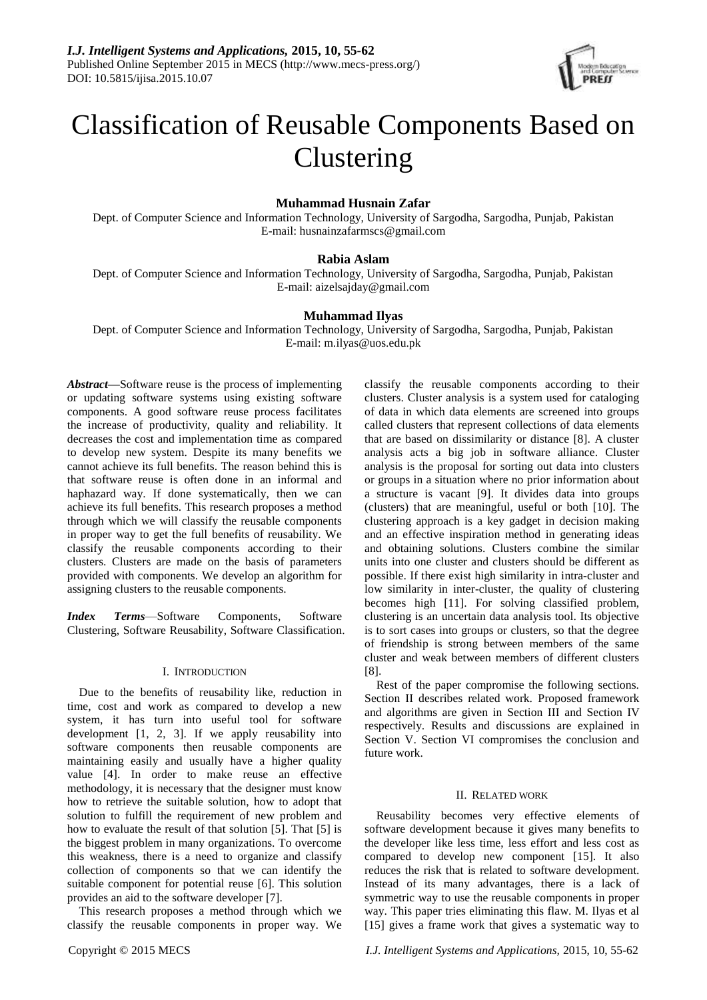

# Classification of Reusable Components Based on Clustering

# **Muhammad Husnain Zafar**

Dept. of Computer Science and Information Technology, University of Sargodha, Sargodha, Punjab, Pakistan E-mail: [husnainzafarmscs@gmail.com](mailto:husnainzafarmscs@gmail.com)

# **Rabia Aslam**

Dept. of Computer Science and Information Technology, University of Sargodha, Sargodha, Punjab, Pakistan E-mail: aizelsajday@gmail.com

# **Muhammad Ilyas**

Dept. of Computer Science and Information Technology, University of Sargodha, Sargodha, Punjab, Pakistan E-mail: [m.ilyas@uos.edu.pk](mailto:m.ilyas@uos.edu.pk)

*Abstract—*Software reuse is the process of implementing or updating software systems using existing software components. A good software reuse process facilitates the increase of productivity, quality and reliability. It decreases the cost and implementation time as compared to develop new system. Despite its many benefits we cannot achieve its full benefits. The reason behind this is that software reuse is often done in an informal and haphazard way. If done systematically, then we can achieve its full benefits. This research proposes a method through which we will classify the reusable components in proper way to get the full benefits of reusability. We classify the reusable components according to their clusters. Clusters are made on the basis of parameters provided with components. We develop an algorithm for assigning clusters to the reusable components.

*Index Terms*—Software Components, Software Clustering, Software Reusability, Software Classification.

#### I. INTRODUCTION

Due to the benefits of reusability like, reduction in time, cost and work as compared to develop a new system, it has turn into useful tool for software development [1, 2, 3]. If we apply reusability into software components then reusable components are maintaining easily and usually have a higher quality value [4]. In order to make reuse an effective methodology, it is necessary that the designer must know how to retrieve the suitable solution, how to adopt that solution to fulfill the requirement of new problem and how to evaluate the result of that solution [5]. That [5] is the biggest problem in many organizations. To overcome this weakness, there is a need to organize and classify collection of components so that we can identify the suitable component for potential reuse [6]. This solution provides an aid to the software developer [7].

This research proposes a method through which we classify the reusable components in proper way. We

classify the reusable components according to their clusters. Cluster analysis is a system used for cataloging of data in which data elements are screened into groups called clusters that represent collections of data elements that are based on dissimilarity or distance [8]. A cluster analysis acts a big job in software alliance. Cluster analysis is the proposal for sorting out data into clusters or groups in a situation where no prior information about a structure is vacant [9]. It divides data into groups (clusters) that are meaningful, useful or both [10]. The clustering approach is a key gadget in decision making and an effective inspiration method in generating ideas and obtaining solutions. Clusters combine the similar units into one cluster and clusters should be different as possible. If there exist high similarity in intra-cluster and low similarity in inter-cluster, the quality of clustering becomes high [11]. For solving classified problem, clustering is an uncertain data analysis tool. Its objective is to sort cases into groups or clusters, so that the degree of friendship is strong between members of the same cluster and weak between members of different clusters [8].

Rest of the paper compromise the following sections. Section II describes related work. Proposed framework and algorithms are given in Section III and Section IV respectively. Results and discussions are explained in Section V. Section VI compromises the conclusion and future work.

#### II. RELATED WORK

Reusability becomes very effective elements of software development because it gives many benefits to the developer like less time, less effort and less cost as compared to develop new component [15]. It also reduces the risk that is related to software development. Instead of its many advantages, there is a lack of symmetric way to use the reusable components in proper way. This paper tries eliminating this flaw. M. Ilyas et al [15] gives a frame work that gives a systematic way to

Copyright © 2015 MECS *I.J. Intelligent Systems and Applications,* 2015, 10, 55-62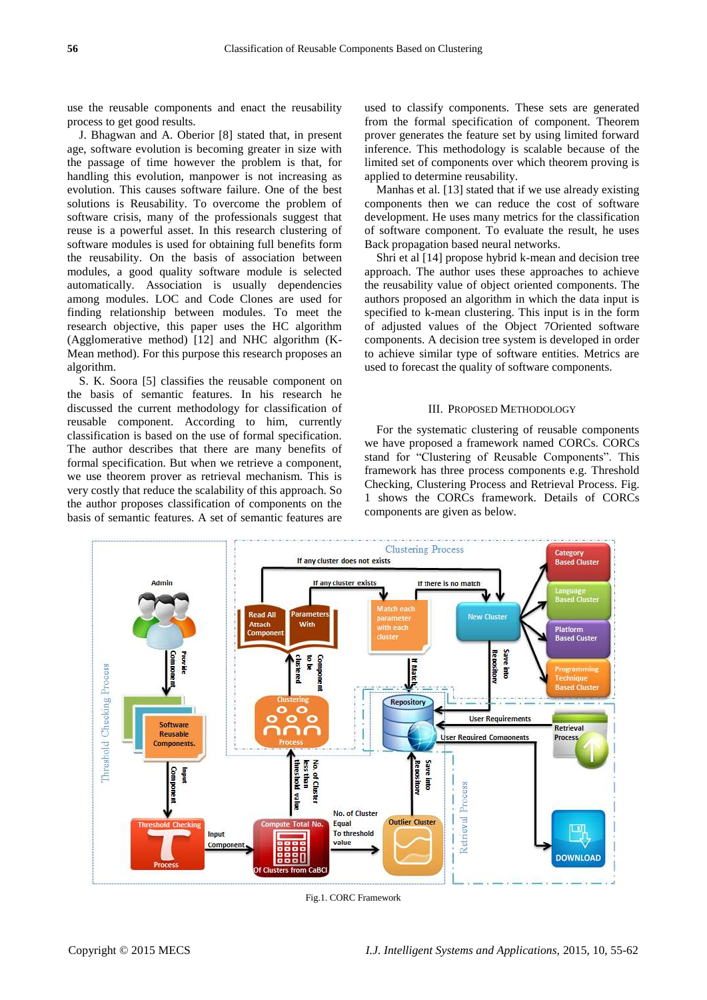use the reusable components and enact the reusability process to get good results.

J. Bhagwan and A. Oberior [8] stated that, in present age, software evolution is becoming greater in size with the passage of time however the problem is that, for handling this evolution, manpower is not increasing as evolution. This causes software failure. One of the best solutions is Reusability. To overcome the problem of software crisis, many of the professionals suggest that reuse is a powerful asset. In this research clustering of software modules is used for obtaining full benefits form the reusability. On the basis of association between modules, a good quality software module is selected automatically. Association is usually dependencies among modules. LOC and Code Clones are used for finding relationship between modules. To meet the research objective, this paper uses the HC algorithm (Agglomerative method) [12] and NHC algorithm (K-Mean method). For this purpose this research proposes an algorithm.

S. K. Soora [5] classifies the reusable component on the basis of semantic features. In his research he discussed the current methodology for classification of reusable component. According to him, currently classification is based on the use of formal specification. The author describes that there are many benefits of formal specification. But when we retrieve a component, we use theorem prover as retrieval mechanism. This is very costly that reduce the scalability of this approach. So the author proposes classification of components on the basis of semantic features. A set of semantic features are

used to classify components. These sets are generated from the formal specification of component. Theorem prover generates the feature set by using limited forward inference. This methodology is scalable because of the limited set of components over which theorem proving is applied to determine reusability.

Manhas et al. [13] stated that if we use already existing components then we can reduce the cost of software development. He uses many metrics for the classification of software component. To evaluate the result, he uses Back propagation based neural networks.

Shri et al [14] propose hybrid k-mean and decision tree approach. The author uses these approaches to achieve the reusability value of object oriented components. The authors proposed an algorithm in which the data input is specified to k-mean clustering. This input is in the form of adjusted values of the Object 7Oriented software components. A decision tree system is developed in order to achieve similar type of software entities. Metrics are used to forecast the quality of software components.

#### III. PROPOSED METHODOLOGY

For the systematic clustering of reusable components we have proposed a framework named CORCs. CORCs stand for "Clustering of Reusable Components". This framework has three process components e.g. Threshold Checking, Clustering Process and Retrieval Process. Fig. 1 shows the CORCs framework. Details of CORCs components are given as below.



Fig.1. CORC Framework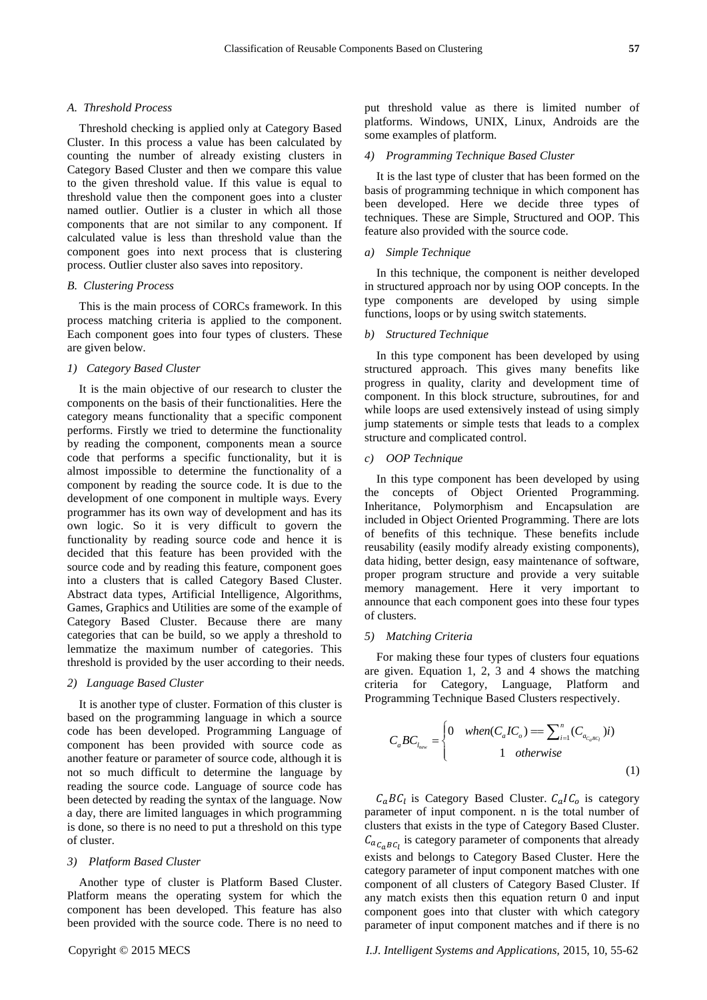#### *A. Threshold Process*

Threshold checking is applied only at Category Based Cluster. In this process a value has been calculated by counting the number of already existing clusters in Category Based Cluster and then we compare this value to the given threshold value. If this value is equal to threshold value then the component goes into a cluster named outlier. Outlier is a cluster in which all those components that are not similar to any component. If calculated value is less than threshold value than the component goes into next process that is clustering process. Outlier cluster also saves into repository.

## *B. Clustering Process*

This is the main process of CORCs framework. In this process matching criteria is applied to the component. Each component goes into four types of clusters. These are given below.

# *1) Category Based Cluster*

It is the main objective of our research to cluster the components on the basis of their functionalities. Here the category means functionality that a specific component performs. Firstly we tried to determine the functionality by reading the component, components mean a source code that performs a specific functionality, but it is almost impossible to determine the functionality of a component by reading the source code. It is due to the development of one component in multiple ways. Every programmer has its own way of development and has its own logic. So it is very difficult to govern the functionality by reading source code and hence it is decided that this feature has been provided with the source code and by reading this feature, component goes into a clusters that is called Category Based Cluster. Abstract data types, Artificial Intelligence, Algorithms, Games, Graphics and Utilities are some of the example of Category Based Cluster. Because there are many categories that can be build, so we apply a threshold to lemmatize the maximum number of categories. This threshold is provided by the user according to their needs.

## *2) Language Based Cluster*

It is another type of cluster. Formation of this cluster is based on the programming language in which a source code has been developed. Programming Language of component has been provided with source code as another feature or parameter of source code, although it is not so much difficult to determine the language by reading the source code. Language of source code has been detected by reading the syntax of the language. Now a day, there are limited languages in which programming is done, so there is no need to put a threshold on this type of cluster.

#### *3) Platform Based Cluster*

Another type of cluster is Platform Based Cluster. Platform means the operating system for which the component has been developed. This feature has also been provided with the source code. There is no need to

### *4) Programming Technique Based Cluster*

It is the last type of cluster that has been formed on the basis of programming technique in which component has been developed. Here we decide three types of techniques. These are Simple, Structured and OOP. This feature also provided with the source code.

## *a) Simple Technique*

In this technique, the component is neither developed in structured approach nor by using OOP concepts. In the type components are developed by using simple functions, loops or by using switch statements.

## *b) Structured Technique*

In this type component has been developed by using structured approach. This gives many benefits like progress in quality, clarity and development time of component. In this block structure, subroutines, for and while loops are used extensively instead of using simply jump statements or simple tests that leads to a complex structure and complicated control.

#### *c) OOP Technique*

In this type component has been developed by using the concepts of Object Oriented Programming. Inheritance, Polymorphism and Encapsulation are included in Object Oriented Programming. There are lots of benefits of this technique. These benefits include reusability (easily modify already existing components), data hiding, better design, easy maintenance of software, proper program structure and provide a very suitable memory management. Here it very important to announce that each component goes into these four types of clusters.

### *5) Matching Criteria*

For making these four types of clusters four equations are given. Equation 1, 2, 3 and 4 shows the matching criteria for Category, Language, Platform and Programming Technique Based Clusters respectively.

$$
C_a BC_{l_{new}} = \begin{cases} 0 & when(C_a IC_o) = \sum_{i=1}^n (C_{a_{c_a BC_i}})i) \\ 1 & otherwise \end{cases}
$$
 (1)

 $C_aBC_l$  is Category Based Cluster.  $C_aIC_o$  is category parameter of input component. n is the total number of clusters that exists in the type of Category Based Cluster.  $C_{a_{C_aB C_l}}$  is category parameter of components that already exists and belongs to Category Based Cluster. Here the category parameter of input component matches with one component of all clusters of Category Based Cluster. If any match exists then this equation return 0 and input component goes into that cluster with which category parameter of input component matches and if there is no

Copyright © 2015 MECS *I.J. Intelligent Systems and Applications,* 2015, 10, 55-62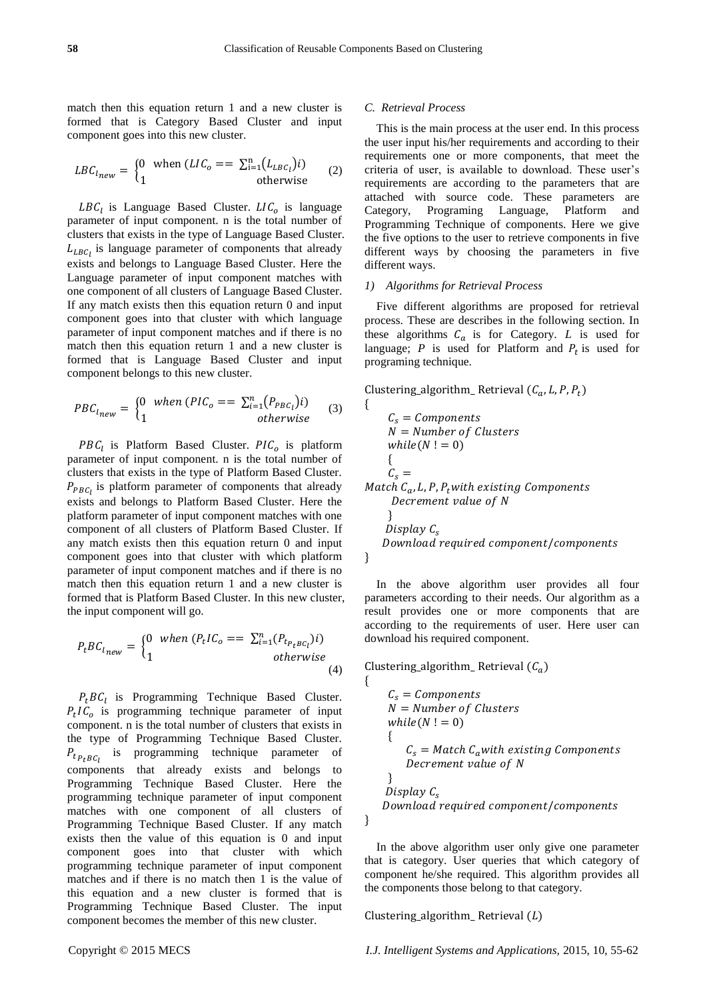match then this equation return 1 and a new cluster is formed that is Category Based Cluster and input component goes into this new cluster.

$$
LBC_{lnew} = \begin{cases} 0 & \text{when } (LIC_o == \sum_{i=1}^{n} (L_{LBC_l})i) \\ 1 & \text{otherwise} \end{cases}
$$
 (2)

 $LBC_l$  is Language Based Cluster.  $LIC_o$  is language parameter of input component. n is the total number of clusters that exists in the type of Language Based Cluster.  $L_{LBC_l}$  is language parameter of components that already exists and belongs to Language Based Cluster. Here the Language parameter of input component matches with one component of all clusters of Language Based Cluster. If any match exists then this equation return 0 and input component goes into that cluster with which language parameter of input component matches and if there is no match then this equation return 1 and a new cluster is formed that is Language Based Cluster and input component belongs to this new cluster.

$$
PBC_{l_{new}} = \begin{cases} 0 & when (PIC_o == \sum_{i=1}^{n} (P_{PBC_i})i) \\ 1 & otherwise \end{cases}
$$
 (3)

 $PBC_l$  is Platform Based Cluster.  $PIC_o$  is platform parameter of input component. n is the total number of clusters that exists in the type of Platform Based Cluster.  $P_{PBC}$  is platform parameter of components that already exists and belongs to Platform Based Cluster. Here the platform parameter of input component matches with one component of all clusters of Platform Based Cluster. If any match exists then this equation return 0 and input component goes into that cluster with which platform parameter of input component matches and if there is no match then this equation return 1 and a new cluster is formed that is Platform Based Cluster. In this new cluster, the input component will go.

$$
P_t B C_{l_{new}} = \begin{cases} 0 & when (P_t I C_o == \sum_{i=1}^n (P_{t_{P_t B C_i}}) i) \\ 1 & otherwise \end{cases}
$$
(4)

 $P_t BC_l$  is Programming Technique Based Cluster.  $P_t$ IC<sub>o</sub> is programming technique parameter of input component. n is the total number of clusters that exists in the type of Programming Technique Based Cluster.  $P_{t_{P_t}B C_l}$  is programming technique parameter of components that already exists and belongs to Programming Technique Based Cluster. Here the programming technique parameter of input component matches with one component of all clusters of Programming Technique Based Cluster. If any match exists then the value of this equation is 0 and input component goes into that cluster with which programming technique parameter of input component matches and if there is no match then 1 is the value of this equation and a new cluster is formed that is Programming Technique Based Cluster. The input component becomes the member of this new cluster.

### *C. Retrieval Process*

This is the main process at the user end. In this process the user input his/her requirements and according to their requirements one or more components, that meet the criteria of user, is available to download. These user's requirements are according to the parameters that are attached with source code. These parameters are Category, Programing Language, Platform and Programming Technique of components. Here we give the five options to the user to retrieve components in five different ways by choosing the parameters in five different ways.

# *1) Algorithms for Retrieval Process*

Five different algorithms are proposed for retrieval process. These are describes in the following section. In these algorithms  $C_a$  is for Category. *L* is used for language;  $P$  is used for Platform and  $P_t$  is used for programing technique.

```
Clustering_algorithm_ Retrieval (C_a, L, P, P_t){
     C_s = ComponentsN = Number of Clusters
     while(N ! = 0) {
     C_{\rm s} =Match C_a, L, P, P_twith existing Components
     Decrement value of N
      }
    Display C_{s}Download required component/components
}
```
In the above algorithm user provides all four parameters according to their needs. Our algorithm as a result provides one or more components that are according to the requirements of user. Here user can download his required component.

```
Clustering_algorithm_ Retrieval (C_a)
```
{

}

$$
C_s = Components
$$
  
\n
$$
N = Number of Clusters
$$
  
\n
$$
while (N != 0)
$$
  
\n{  
\n
$$
C_s = Match C_awith existing Components
$$
  
\n
$$
December value of N
$$
  
\n}  
\n
$$
Display C_s
$$
  
\n
$$
Download required component/components
$$

In the above algorithm user only give one parameter that is category. User queries that which category of component he/she required. This algorithm provides all the components those belong to that category.

Clustering\_algorithm\_ Retrieval  $(L)$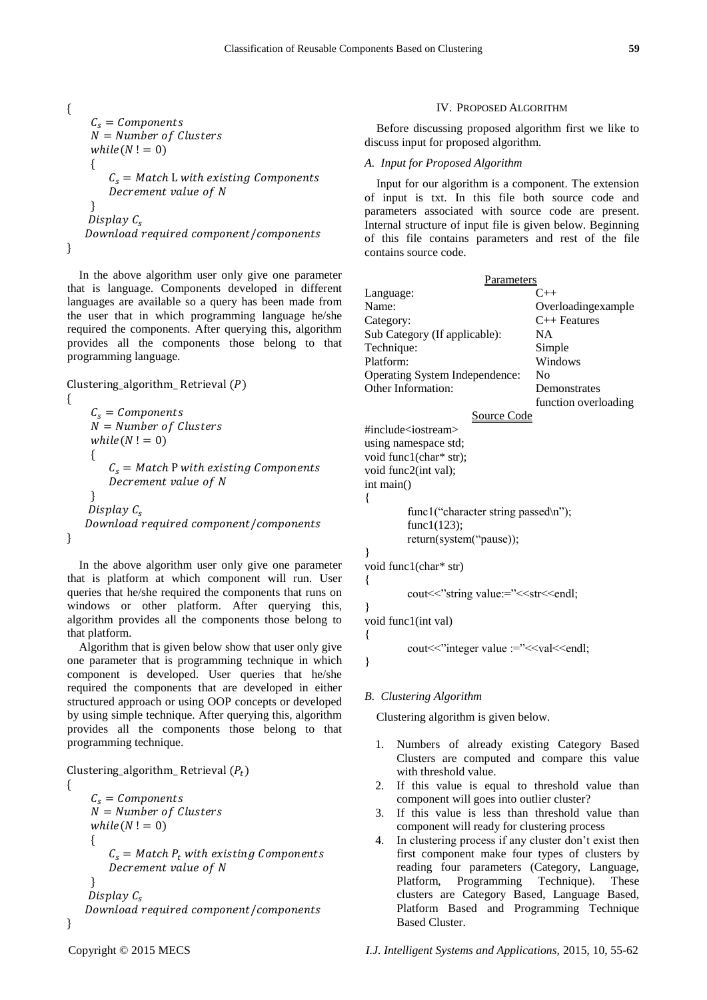$$
\begin{aligned}\n\{\n\begin{aligned}\nC_s &= Components \\
N &= Number of Clusters \\
while (N != 0) \\
\{\n\begin{aligned}\nC_s &= Match L with existing Components \\
December value of N\n\end{aligned}\n\end{aligned}\n\}.\n
$$
\n
$$
\begin{aligned}\nDisplay C_s \\
DownLatch component/components\n\end{aligned}
$$

}

In the above algorithm user only give one parameter that is language. Components developed in different languages are available so a query has been made from the user that in which programming language he/she required the components. After querying this, algorithm provides all the components those belong to that programming language.

```
Clustering_algorithm_ Retrieval (P){
    C_s = ComponentsN = Number of Clusters
    while(N != 0) {
       C_s = Match P with existing Components
       Decrement value of N
 }
   Display C_sDownload required component/components
}
```
In the above algorithm user only give one parameter that is platform at which component will run. User queries that he/she required the components that runs on windows or other platform. After querying this, algorithm provides all the components those belong to that platform.

Algorithm that is given below show that user only give one parameter that is programming technique in which component is developed. User queries that he/she required the components that are developed in either structured approach or using OOP concepts or developed by using simple technique. After querying this, algorithm provides all the components those belong to that programming technique.

```
Clustering_algorithm_Retrieval (P_t)
```
{

}

```
C_s = ComponentsN = Number of Clusters
   while(N ! = 0)\{ \{ \}C_s = Match P_t with existing Components
       Decrement value of N
     }
   Display C<sub>s</sub>Download required component/components
```
## IV. PROPOSED ALGORITHM

Before discussing proposed algorithm first we like to discuss input for proposed algorithm.

#### *A. Input for Proposed Algorithm*

Input for our algorithm is a component. The extension of input is txt. In this file both source code and parameters associated with source code are present. Internal structure of input file is given below. Beginning of this file contains parameters and rest of the file contains source code.

| Parameters                     |                      |
|--------------------------------|----------------------|
| Language:                      | $C_{++}$             |
| Name:                          | Overloadingexample   |
| Category:                      | $C++$ Features       |
| Sub Category (If applicable):  | NА                   |
| Technique:                     | Simple               |
| Platform:                      | Windows              |
| Operating System Independence: | No                   |
| Other Information:             | Demonstrates         |
|                                | function overloading |
| Source Code                    |                      |

# Source Code

#include<iostream> using namespace std; void func1(char\* str); void func2(int val); int main() { func1("character string passed\n"); func1(123); return(system("pause)); } void func1(char\* str) {

cout << "string value:="<<<rr>str<<endl;

void func1(int val)

}

 $\left\{ \right.$ 

}

cout << "integer value :=" << << val <<<<<<<<<<<<<

# *B. Clustering Algorithm*

Clustering algorithm is given below.

- 1. Numbers of already existing Category Based Clusters are computed and compare this value with threshold value.
- 2. If this value is equal to threshold value than component will goes into outlier cluster?
- 3. If this value is less than threshold value than component will ready for clustering process
- 4. In clustering process if any cluster don't exist then first component make four types of clusters by reading four parameters (Category, Language, Platform, Programming Technique). These clusters are Category Based, Language Based, Platform Based and Programming Technique Based Cluster.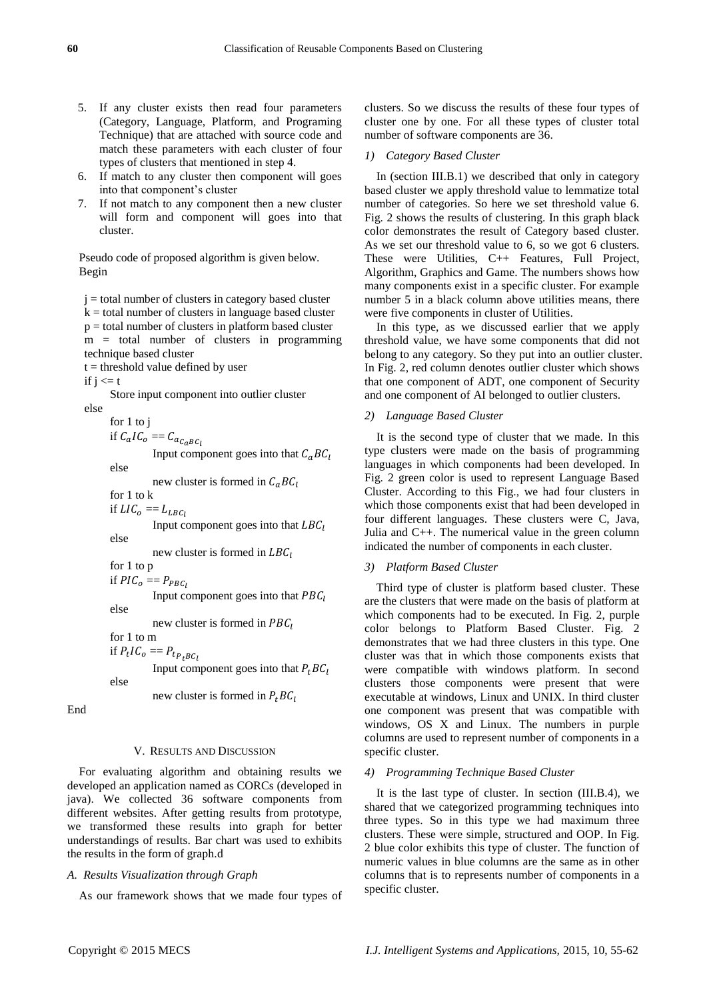- Technique) that are attached with source code and match these parameters with each cluster of four types of clusters that mentioned in step 4. 6. If match to any cluster then component will goes
	- into that component's cluster 7. If not match to any component then a new cluster will form and component will goes into that cluster.

5. If any cluster exists then read four parameters (Category, Language, Platform, and Programing

Pseudo code of proposed algorithm is given below. Begin

 $j =$  total number of clusters in category based cluster  $k =$  total number of clusters in language based cluster  $p =$  total number of clusters in platform based cluster  $m =$  total number of clusters in programming technique based cluster  $t =$  threshold value defined by user if  $i \leq t$ Store input component into outlier cluster else for 1 to j if  $C_aIC_o = C_{a_{C_aBC_b}}$ Input component goes into that  $C_aBC_l$ else new cluster is formed in  $C_a BC_l$ for 1 to k if  $LI\mathcal{C}_o = L_{LBC}$ Input component goes into that  $LBC_I$ else new cluster is formed in  $LBC_l$ for 1 to p if  $PIC<sub>o</sub> == P<sub>PBC<sub>1</sub></sub>$ Input component goes into that  $PBC_1$ else new cluster is formed in  $PBC<sub>l</sub>$ for 1 to m if  $P_t I C_o = P_t P_t B c_l$ Input component goes into that  $P_t B C_l$ else new cluster is formed in  $P<sub>t</sub>BC<sub>t</sub>$ 

End

# V. RESULTS AND DISCUSSION

For evaluating algorithm and obtaining results we developed an application named as CORCs (developed in java). We collected 36 software components from different websites. After getting results from prototype, we transformed these results into graph for better understandings of results. Bar chart was used to exhibits the results in the form of graph.d

# *A. Results Visualization through Graph*

As our framework shows that we made four types of

clusters. So we discuss the results of these four types of cluster one by one. For all these types of cluster total number of software components are 36.

#### *1) Category Based Cluster*

In (section III.B.1) we described that only in category based cluster we apply threshold value to lemmatize total number of categories. So here we set threshold value 6. Fig. 2 shows the results of clustering. In this graph black color demonstrates the result of Category based cluster. As we set our threshold value to 6, so we got 6 clusters. These were Utilities, C++ Features, Full Project, Algorithm, Graphics and Game. The numbers shows how many components exist in a specific cluster. For example number 5 in a black column above utilities means, there were five components in cluster of Utilities.

In this type, as we discussed earlier that we apply threshold value, we have some components that did not belong to any category. So they put into an outlier cluster. In Fig. 2, red column denotes outlier cluster which shows that one component of ADT, one component of Security and one component of AI belonged to outlier clusters.

# *2) Language Based Cluster*

It is the second type of cluster that we made. In this type clusters were made on the basis of programming languages in which components had been developed. In Fig. 2 green color is used to represent Language Based Cluster. According to this Fig., we had four clusters in which those components exist that had been developed in four different languages. These clusters were C, Java, Julia and C++. The numerical value in the green column indicated the number of components in each cluster.

# *3) Platform Based Cluster*

Third type of cluster is platform based cluster. These are the clusters that were made on the basis of platform at which components had to be executed. In Fig. 2, purple color belongs to Platform Based Cluster. Fig. 2 demonstrates that we had three clusters in this type. One cluster was that in which those components exists that were compatible with windows platform. In second clusters those components were present that were executable at windows, Linux and UNIX. In third cluster one component was present that was compatible with windows, OS X and Linux. The numbers in purple columns are used to represent number of components in a specific cluster.

### *4) Programming Technique Based Cluster*

It is the last type of cluster. In section (III.B.4), we shared that we categorized programming techniques into three types. So in this type we had maximum three clusters. These were simple, structured and OOP. In Fig. 2 blue color exhibits this type of cluster. The function of numeric values in blue columns are the same as in other columns that is to represents number of components in a specific cluster.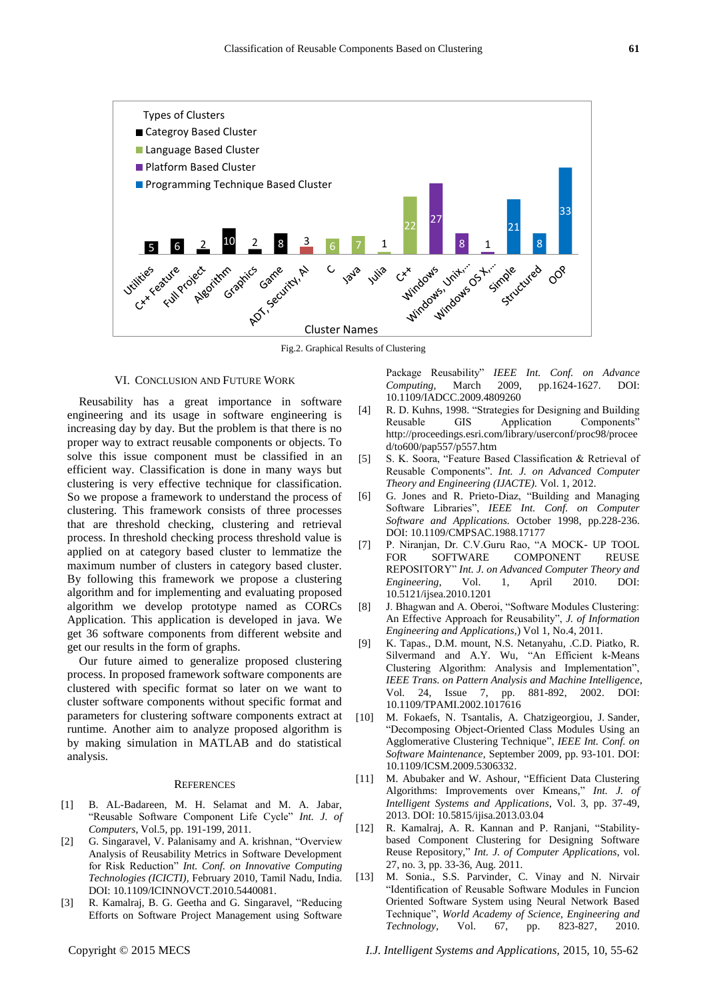

Fig.2. Graphical Results of Clustering

#### VI. CONCLUSION AND FUTURE WORK

Reusability has a great importance in software engineering and its usage in software engineering is increasing day by day. But the problem is that there is no proper way to extract reusable components or objects. To solve this issue component must be classified in an efficient way. Classification is done in many ways but clustering is very effective technique for classification. So we propose a framework to understand the process of clustering. This framework consists of three processes that are threshold checking, clustering and retrieval process. In threshold checking process threshold value is applied on at category based cluster to lemmatize the maximum number of clusters in category based cluster. By following this framework we propose a clustering algorithm and for implementing and evaluating proposed algorithm we develop prototype named as CORCs Application. This application is developed in java. We get 36 software components from different website and get our results in the form of graphs.

Our future aimed to generalize proposed clustering process. In proposed framework software components are clustered with specific format so later on we want to cluster software components without specific format and parameters for clustering software components extract at runtime. Another aim to analyze proposed algorithm is by making simulation in MATLAB and do statistical analysis.

#### **REFERENCES**

- [1] B. AL-Badareen, M. H. Selamat and M. A. Jabar, "Reusable Software Component Life Cycle" *Int. J. of Computers*, Vol.5, pp. 191-199, 2011.
- [2] G. Singaravel, V. Palanisamy and A. krishnan, "Overview Analysis of Reusability Metrics in Software Development for Risk Reduction" *Int. Conf. on Innovative Computing Technologies (ICICTI),* February 2010, Tamil Nadu, India. DOI[: 10.1109/ICINNOVCT.2010.5440081.](http://dx.doi.org/10.1109/ICINNOVCT.2010.5440081)
- [3] R. Kamalraj, B. G. Geetha and G. Singaravel, "Reducing Efforts on Software Project Management using Software

Package Reusability" *IEEE Int. Conf. on Advance Computing,* March 2009, pp.1624-1627. DOI: [10.1109/IADCC.2009.4809260](http://dx.doi.org/10.1109/IADCC.2009.4809260)

- [4] R. D. Kuhns, 1998. "Strategies for Designing and Building Reusable GIS Application Components" [http://proceedings.esri.com/library/userconf/proc98/procee](http://proceedings.esri.com/library/userconf/proc98/proceed/to600/pap557/p557.htm) [d/to600/pap557/p557.htm](http://proceedings.esri.com/library/userconf/proc98/proceed/to600/pap557/p557.htm)
- [5] S. K. Soora, "Feature Based Classification & Retrieval of Reusable Components". *Int. J. on Advanced Computer Theory and Engineering (IJACTE).* Vol. 1, 2012.
- [6] G. Jones and R. Prieto-Diaz, "Building and Managing Software Libraries", *IEEE Int. Conf. on Computer Software and Applications.* October 1998, pp.228-236. DOI: [10.1109/CMPSAC.1988.17177](http://dx.doi.org/10.1109/CMPSAC.1988.17177)
- [7] P. Niranjan, Dr. C.V.Guru Rao, "A MOCK- UP TOOL FOR SOFTWARE COMPONENT REUSE REPOSITORY" *Int. J. on Advanced Computer Theory and Engineering*, Vol. 1, April 2010. DOI: 10.5121/ijsea.2010.1201
- [8] J. Bhagwan and A. Oberoi, "Software Modules Clustering: An Effective Approach for Reusability", *J. of Information Engineering and Applications,*) Vol 1, No.4, 2011.
- [9] K. Tapas., D.M. mount, N.S. Netanyahu, .C.D. Piatko, R. Silvermand and A.Y. Wu, "An Efficient k-Means Clustering Algorithm: Analysis and Implementation", *IEEE Trans. on Pattern Analysis and Machine Intelligence*, Vol. 24, Issue 7, pp. 881-892, 2002. DOI: [10.1109/TPAMI.2002.1017616](http://dx.doi.org/10.1109/TPAMI.2002.1017616)
- [10] M. Fokaefs, N. [Tsantalis,](http://ieeexplore.ieee.org/search/searchresult.jsp?searchWithin=p_Authors:.QT.Tsantalis,%20N..QT.&searchWithin=p_Author_Ids:37265027200&newsearch=true) A. [Chatzigeorgiou, J](http://ieeexplore.ieee.org/search/searchresult.jsp?searchWithin=p_Authors:.QT.Chatzigeorgiou,%20A..QT.&searchWithin=p_Author_Ids:37267568900&newsearch=true). Sander, "Decomposing Object-Oriented Class Modules Using an Agglomerative Clustering Technique", *IEEE Int. Conf. on Software Maintenance,* September 2009, pp. 93-101. DOI: [10.1109/ICSM.2009.5306332.](http://dx.doi.org/10.1109/ICSM.2009.5306332)
- [11] M. Abubaker and W. Ashour, "Efficient Data Clustering Algorithms: Improvements over Kmeans," *Int. J. of Intelligent Systems and Applications*, Vol. 3, pp. 37-49, 2013. DOI: 10.5815/ijisa.2013.03.04
- [12] R. Kamalraj, A. R. Kannan and P. Ranjani, "Stabilitybased Component Clustering for Designing Software Reuse Repository," *Int. J. of Computer Applications*, vol. 27, no. 3, pp. 33-36, Aug. 2011.
- [13] M. Sonia., S.S. Parvinder, C. Vinay and N. Nirvair "Identification of Reusable Software Modules in Funcion Oriented Software System using Neural Network Based Technique", *World Academy of Science, Engineering and Technology*, Vol. 67, pp. 823-827, 2010.

Copyright © 2015 MECS *I.J. Intelligent Systems and Applications,* 2015, 10, 55-62